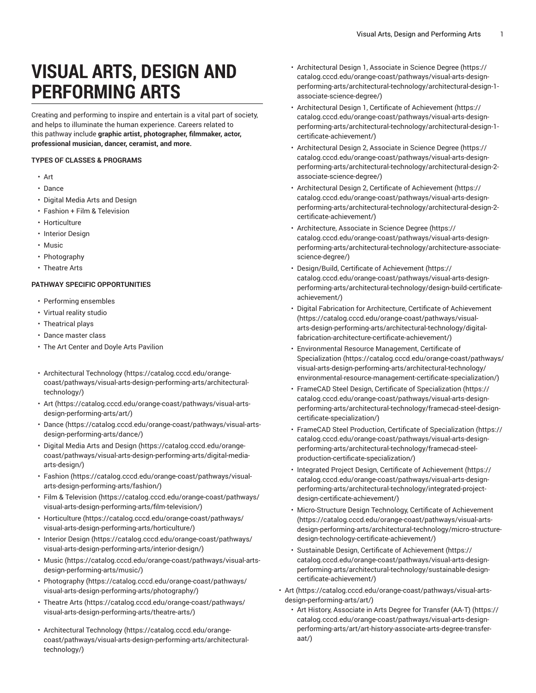## **VISUAL ARTS, DESIGN AND PERFORMING ARTS**

Creating and performing to inspire and entertain is a vital part of society, and helps to illuminate the human experience. Careers related to this pathway include **graphic artist, photographer, filmmaker, actor, professional musician, dancer, ceramist, and more.**

## **TYPES OF CLASSES & PROGRAMS**

- Art
- Dance
- Digital Media Arts and Design
- Fashion + Film & Television
- Horticulture
- Interior Design
- Music
- Photography
- Theatre Arts

## **PATHWAY SPECIFIC OPPORTUNITIES**

- Performing ensembles
- Virtual reality studio
- Theatrical plays
- Dance master class
- The Art Center and Doyle Arts Pavilion
- [Architectural](https://catalog.cccd.edu/orange-coast/pathways/visual-arts-design-performing-arts/architectural-technology/) Technology [\(https://catalog.cccd.edu/orange](https://catalog.cccd.edu/orange-coast/pathways/visual-arts-design-performing-arts/architectural-technology/)[coast/pathways/visual-arts-design-performing-arts/architectural](https://catalog.cccd.edu/orange-coast/pathways/visual-arts-design-performing-arts/architectural-technology/)[technology/](https://catalog.cccd.edu/orange-coast/pathways/visual-arts-design-performing-arts/architectural-technology/))
- [Art \(https://catalog.cccd.edu/orange-coast/pathways/visual-arts](https://catalog.cccd.edu/orange-coast/pathways/visual-arts-design-performing-arts/art/)[design-performing-arts/art/\)](https://catalog.cccd.edu/orange-coast/pathways/visual-arts-design-performing-arts/art/)
- [Dance \(https://catalog.cccd.edu/orange-coast/pathways/visual-arts](https://catalog.cccd.edu/orange-coast/pathways/visual-arts-design-performing-arts/dance/)[design-performing-arts/dance/\)](https://catalog.cccd.edu/orange-coast/pathways/visual-arts-design-performing-arts/dance/)
- Digital Media Arts and [Design](https://catalog.cccd.edu/orange-coast/pathways/visual-arts-design-performing-arts/digital-media-arts-design/) ([https://catalog.cccd.edu/orange](https://catalog.cccd.edu/orange-coast/pathways/visual-arts-design-performing-arts/digital-media-arts-design/)[coast/pathways/visual-arts-design-performing-arts/digital-media](https://catalog.cccd.edu/orange-coast/pathways/visual-arts-design-performing-arts/digital-media-arts-design/)[arts-design/\)](https://catalog.cccd.edu/orange-coast/pathways/visual-arts-design-performing-arts/digital-media-arts-design/)
- [Fashion \(https://catalog.cccd.edu/orange-coast/pathways/visual](https://catalog.cccd.edu/orange-coast/pathways/visual-arts-design-performing-arts/fashion/)[arts-design-performing-arts/fashion/](https://catalog.cccd.edu/orange-coast/pathways/visual-arts-design-performing-arts/fashion/))
- Film & [Television \(https://catalog.cccd.edu/orange-coast/pathways/](https://catalog.cccd.edu/orange-coast/pathways/visual-arts-design-performing-arts/film-television/) [visual-arts-design-performing-arts/film-television/\)](https://catalog.cccd.edu/orange-coast/pathways/visual-arts-design-performing-arts/film-television/)
- [Horticulture \(https://catalog.cccd.edu/orange-coast/pathways/](https://catalog.cccd.edu/orange-coast/pathways/visual-arts-design-performing-arts/horticulture/) [visual-arts-design-performing-arts/horticulture/](https://catalog.cccd.edu/orange-coast/pathways/visual-arts-design-performing-arts/horticulture/))
- [Interior Design \(https://catalog.cccd.edu/orange-coast/pathways/](https://catalog.cccd.edu/orange-coast/pathways/visual-arts-design-performing-arts/interior-design/) [visual-arts-design-performing-arts/interior-design/](https://catalog.cccd.edu/orange-coast/pathways/visual-arts-design-performing-arts/interior-design/))
- [Music](https://catalog.cccd.edu/orange-coast/pathways/visual-arts-design-performing-arts/music/) ([https://catalog.cccd.edu/orange-coast/pathways/visual-arts](https://catalog.cccd.edu/orange-coast/pathways/visual-arts-design-performing-arts/music/)[design-performing-arts/music/\)](https://catalog.cccd.edu/orange-coast/pathways/visual-arts-design-performing-arts/music/)
- [Photography](https://catalog.cccd.edu/orange-coast/pathways/visual-arts-design-performing-arts/photography/) ([https://catalog.cccd.edu/orange-coast/pathways/](https://catalog.cccd.edu/orange-coast/pathways/visual-arts-design-performing-arts/photography/) [visual-arts-design-performing-arts/photography/](https://catalog.cccd.edu/orange-coast/pathways/visual-arts-design-performing-arts/photography/))
- [Theatre](https://catalog.cccd.edu/orange-coast/pathways/visual-arts-design-performing-arts/theatre-arts/) Arts [\(https://catalog.cccd.edu/orange-coast/pathways/](https://catalog.cccd.edu/orange-coast/pathways/visual-arts-design-performing-arts/theatre-arts/) [visual-arts-design-performing-arts/theatre-arts/](https://catalog.cccd.edu/orange-coast/pathways/visual-arts-design-performing-arts/theatre-arts/))
- [Architectural](https://catalog.cccd.edu/orange-coast/pathways/visual-arts-design-performing-arts/architectural-technology/) Technology [\(https://catalog.cccd.edu/orange](https://catalog.cccd.edu/orange-coast/pathways/visual-arts-design-performing-arts/architectural-technology/)[coast/pathways/visual-arts-design-performing-arts/architectural](https://catalog.cccd.edu/orange-coast/pathways/visual-arts-design-performing-arts/architectural-technology/)[technology/](https://catalog.cccd.edu/orange-coast/pathways/visual-arts-design-performing-arts/architectural-technology/))
- [Architectural](https://catalog.cccd.edu/orange-coast/pathways/visual-arts-design-performing-arts/architectural-technology/architectural-design-1-associate-science-degree/) Design 1, Associate in Science Degree ([https://](https://catalog.cccd.edu/orange-coast/pathways/visual-arts-design-performing-arts/architectural-technology/architectural-design-1-associate-science-degree/) [catalog.cccd.edu/orange-coast/pathways/visual-arts-design](https://catalog.cccd.edu/orange-coast/pathways/visual-arts-design-performing-arts/architectural-technology/architectural-design-1-associate-science-degree/)[performing-arts/architectural-technology/architectural-design-1](https://catalog.cccd.edu/orange-coast/pathways/visual-arts-design-performing-arts/architectural-technology/architectural-design-1-associate-science-degree/) [associate-science-degree/](https://catalog.cccd.edu/orange-coast/pathways/visual-arts-design-performing-arts/architectural-technology/architectural-design-1-associate-science-degree/))
- Architectural Design 1, Certificate of [Achievement \(https://](https://catalog.cccd.edu/orange-coast/pathways/visual-arts-design-performing-arts/architectural-technology/architectural-design-1-certificate-achievement/) [catalog.cccd.edu/orange-coast/pathways/visual-arts-design](https://catalog.cccd.edu/orange-coast/pathways/visual-arts-design-performing-arts/architectural-technology/architectural-design-1-certificate-achievement/)[performing-arts/architectural-technology/architectural-design-1](https://catalog.cccd.edu/orange-coast/pathways/visual-arts-design-performing-arts/architectural-technology/architectural-design-1-certificate-achievement/) [certificate-achievement/](https://catalog.cccd.edu/orange-coast/pathways/visual-arts-design-performing-arts/architectural-technology/architectural-design-1-certificate-achievement/))
- [Architectural](https://catalog.cccd.edu/orange-coast/pathways/visual-arts-design-performing-arts/architectural-technology/architectural-design-2-associate-science-degree/) Design 2, Associate in Science Degree ([https://](https://catalog.cccd.edu/orange-coast/pathways/visual-arts-design-performing-arts/architectural-technology/architectural-design-2-associate-science-degree/) [catalog.cccd.edu/orange-coast/pathways/visual-arts-design](https://catalog.cccd.edu/orange-coast/pathways/visual-arts-design-performing-arts/architectural-technology/architectural-design-2-associate-science-degree/)[performing-arts/architectural-technology/architectural-design-2](https://catalog.cccd.edu/orange-coast/pathways/visual-arts-design-performing-arts/architectural-technology/architectural-design-2-associate-science-degree/) [associate-science-degree/](https://catalog.cccd.edu/orange-coast/pathways/visual-arts-design-performing-arts/architectural-technology/architectural-design-2-associate-science-degree/))
- Architectural Design 2, Certificate of [Achievement \(https://](https://catalog.cccd.edu/orange-coast/pathways/visual-arts-design-performing-arts/architectural-technology/architectural-design-2-certificate-achievement/) [catalog.cccd.edu/orange-coast/pathways/visual-arts-design](https://catalog.cccd.edu/orange-coast/pathways/visual-arts-design-performing-arts/architectural-technology/architectural-design-2-certificate-achievement/)[performing-arts/architectural-technology/architectural-design-2](https://catalog.cccd.edu/orange-coast/pathways/visual-arts-design-performing-arts/architectural-technology/architectural-design-2-certificate-achievement/) [certificate-achievement/](https://catalog.cccd.edu/orange-coast/pathways/visual-arts-design-performing-arts/architectural-technology/architectural-design-2-certificate-achievement/))
- [Architecture,](https://catalog.cccd.edu/orange-coast/pathways/visual-arts-design-performing-arts/architectural-technology/architecture-associate-science-degree/) Associate in Science Degree [\(https://](https://catalog.cccd.edu/orange-coast/pathways/visual-arts-design-performing-arts/architectural-technology/architecture-associate-science-degree/) [catalog.cccd.edu/orange-coast/pathways/visual-arts-design](https://catalog.cccd.edu/orange-coast/pathways/visual-arts-design-performing-arts/architectural-technology/architecture-associate-science-degree/)[performing-arts/architectural-technology/architecture-associate](https://catalog.cccd.edu/orange-coast/pathways/visual-arts-design-performing-arts/architectural-technology/architecture-associate-science-degree/)[science-degree/\)](https://catalog.cccd.edu/orange-coast/pathways/visual-arts-design-performing-arts/architectural-technology/architecture-associate-science-degree/)
- [Design/Build,](https://catalog.cccd.edu/orange-coast/pathways/visual-arts-design-performing-arts/architectural-technology/design-build-certificate-achievement/) Certificate of Achievement ([https://](https://catalog.cccd.edu/orange-coast/pathways/visual-arts-design-performing-arts/architectural-technology/design-build-certificate-achievement/) [catalog.cccd.edu/orange-coast/pathways/visual-arts-design](https://catalog.cccd.edu/orange-coast/pathways/visual-arts-design-performing-arts/architectural-technology/design-build-certificate-achievement/)[performing-arts/architectural-technology/design-build-certificate](https://catalog.cccd.edu/orange-coast/pathways/visual-arts-design-performing-arts/architectural-technology/design-build-certificate-achievement/)[achievement/\)](https://catalog.cccd.edu/orange-coast/pathways/visual-arts-design-performing-arts/architectural-technology/design-build-certificate-achievement/)
- Digital Fabrication for Architecture, Certificate of [Achievement](https://catalog.cccd.edu/orange-coast/pathways/visual-arts-design-performing-arts/architectural-technology/digital-fabrication-architecture-certificate-achievement/) [\(https://catalog.cccd.edu/orange-coast/pathways/visual](https://catalog.cccd.edu/orange-coast/pathways/visual-arts-design-performing-arts/architectural-technology/digital-fabrication-architecture-certificate-achievement/)[arts-design-performing-arts/architectural-technology/digital](https://catalog.cccd.edu/orange-coast/pathways/visual-arts-design-performing-arts/architectural-technology/digital-fabrication-architecture-certificate-achievement/)[fabrication-architecture-certificate-achievement/\)](https://catalog.cccd.edu/orange-coast/pathways/visual-arts-design-performing-arts/architectural-technology/digital-fabrication-architecture-certificate-achievement/)
- [Environmental](https://catalog.cccd.edu/orange-coast/pathways/visual-arts-design-performing-arts/architectural-technology/environmental-resource-management-certificate-specialization/) Resource Management, Certificate of [Specialization](https://catalog.cccd.edu/orange-coast/pathways/visual-arts-design-performing-arts/architectural-technology/environmental-resource-management-certificate-specialization/) ([https://catalog.cccd.edu/orange-coast/pathways/](https://catalog.cccd.edu/orange-coast/pathways/visual-arts-design-performing-arts/architectural-technology/environmental-resource-management-certificate-specialization/) [visual-arts-design-performing-arts/architectural-technology/](https://catalog.cccd.edu/orange-coast/pathways/visual-arts-design-performing-arts/architectural-technology/environmental-resource-management-certificate-specialization/) [environmental-resource-management-certificate-specialization/\)](https://catalog.cccd.edu/orange-coast/pathways/visual-arts-design-performing-arts/architectural-technology/environmental-resource-management-certificate-specialization/)
- FrameCAD Steel Design, Certificate of [Specialization](https://catalog.cccd.edu/orange-coast/pathways/visual-arts-design-performing-arts/architectural-technology/framecad-steel-design-certificate-specialization/) ([https://](https://catalog.cccd.edu/orange-coast/pathways/visual-arts-design-performing-arts/architectural-technology/framecad-steel-design-certificate-specialization/) [catalog.cccd.edu/orange-coast/pathways/visual-arts-design](https://catalog.cccd.edu/orange-coast/pathways/visual-arts-design-performing-arts/architectural-technology/framecad-steel-design-certificate-specialization/)[performing-arts/architectural-technology/framecad-steel-design](https://catalog.cccd.edu/orange-coast/pathways/visual-arts-design-performing-arts/architectural-technology/framecad-steel-design-certificate-specialization/)[certificate-specialization/\)](https://catalog.cccd.edu/orange-coast/pathways/visual-arts-design-performing-arts/architectural-technology/framecad-steel-design-certificate-specialization/)
- FrameCAD Steel Production, Certificate of [Specialization](https://catalog.cccd.edu/orange-coast/pathways/visual-arts-design-performing-arts/architectural-technology/framecad-steel-production-certificate-specialization/) ([https://](https://catalog.cccd.edu/orange-coast/pathways/visual-arts-design-performing-arts/architectural-technology/framecad-steel-production-certificate-specialization/) [catalog.cccd.edu/orange-coast/pathways/visual-arts-design](https://catalog.cccd.edu/orange-coast/pathways/visual-arts-design-performing-arts/architectural-technology/framecad-steel-production-certificate-specialization/)[performing-arts/architectural-technology/framecad-steel](https://catalog.cccd.edu/orange-coast/pathways/visual-arts-design-performing-arts/architectural-technology/framecad-steel-production-certificate-specialization/)[production-certificate-specialization/\)](https://catalog.cccd.edu/orange-coast/pathways/visual-arts-design-performing-arts/architectural-technology/framecad-steel-production-certificate-specialization/)
- Integrated Project Design, Certificate of [Achievement](https://catalog.cccd.edu/orange-coast/pathways/visual-arts-design-performing-arts/architectural-technology/integrated-project-design-certificate-achievement/) ([https://](https://catalog.cccd.edu/orange-coast/pathways/visual-arts-design-performing-arts/architectural-technology/integrated-project-design-certificate-achievement/) [catalog.cccd.edu/orange-coast/pathways/visual-arts-design](https://catalog.cccd.edu/orange-coast/pathways/visual-arts-design-performing-arts/architectural-technology/integrated-project-design-certificate-achievement/)[performing-arts/architectural-technology/integrated-project](https://catalog.cccd.edu/orange-coast/pathways/visual-arts-design-performing-arts/architectural-technology/integrated-project-design-certificate-achievement/)[design-certificate-achievement/](https://catalog.cccd.edu/orange-coast/pathways/visual-arts-design-performing-arts/architectural-technology/integrated-project-design-certificate-achievement/))
- [Micro-Structure](https://catalog.cccd.edu/orange-coast/pathways/visual-arts-design-performing-arts/architectural-technology/micro-structure-design-technology-certificate-achievement/) Design Technology, Certificate of Achievement [\(https://catalog.cccd.edu/orange-coast/pathways/visual-arts](https://catalog.cccd.edu/orange-coast/pathways/visual-arts-design-performing-arts/architectural-technology/micro-structure-design-technology-certificate-achievement/)[design-performing-arts/architectural-technology/micro-structure](https://catalog.cccd.edu/orange-coast/pathways/visual-arts-design-performing-arts/architectural-technology/micro-structure-design-technology-certificate-achievement/)[design-technology-certificate-achievement/](https://catalog.cccd.edu/orange-coast/pathways/visual-arts-design-performing-arts/architectural-technology/micro-structure-design-technology-certificate-achievement/))
- Sustainable Design, Certificate of [Achievement](https://catalog.cccd.edu/orange-coast/pathways/visual-arts-design-performing-arts/architectural-technology/sustainable-design-certificate-achievement/) ([https://](https://catalog.cccd.edu/orange-coast/pathways/visual-arts-design-performing-arts/architectural-technology/sustainable-design-certificate-achievement/) [catalog.cccd.edu/orange-coast/pathways/visual-arts-design](https://catalog.cccd.edu/orange-coast/pathways/visual-arts-design-performing-arts/architectural-technology/sustainable-design-certificate-achievement/)[performing-arts/architectural-technology/sustainable-design](https://catalog.cccd.edu/orange-coast/pathways/visual-arts-design-performing-arts/architectural-technology/sustainable-design-certificate-achievement/)[certificate-achievement/](https://catalog.cccd.edu/orange-coast/pathways/visual-arts-design-performing-arts/architectural-technology/sustainable-design-certificate-achievement/))
- [Art](https://catalog.cccd.edu/orange-coast/pathways/visual-arts-design-performing-arts/art/) ([https://catalog.cccd.edu/orange-coast/pathways/visual-arts](https://catalog.cccd.edu/orange-coast/pathways/visual-arts-design-performing-arts/art/)[design-performing-arts/art/](https://catalog.cccd.edu/orange-coast/pathways/visual-arts-design-performing-arts/art/))
	- Art History, [Associate](https://catalog.cccd.edu/orange-coast/pathways/visual-arts-design-performing-arts/art/art-history-associate-arts-degree-transfer-aat/) in Arts Degree for Transfer (AA-T) [\(https://](https://catalog.cccd.edu/orange-coast/pathways/visual-arts-design-performing-arts/art/art-history-associate-arts-degree-transfer-aat/) [catalog.cccd.edu/orange-coast/pathways/visual-arts-design](https://catalog.cccd.edu/orange-coast/pathways/visual-arts-design-performing-arts/art/art-history-associate-arts-degree-transfer-aat/)[performing-arts/art/art-history-associate-arts-degree-transfer](https://catalog.cccd.edu/orange-coast/pathways/visual-arts-design-performing-arts/art/art-history-associate-arts-degree-transfer-aat/)[aat/](https://catalog.cccd.edu/orange-coast/pathways/visual-arts-design-performing-arts/art/art-history-associate-arts-degree-transfer-aat/))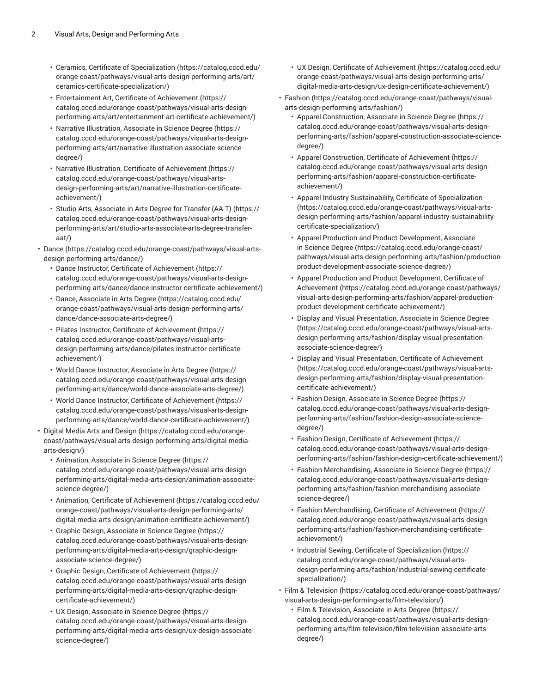- Ceramics, Certificate of [Specialization](https://catalog.cccd.edu/orange-coast/pathways/visual-arts-design-performing-arts/art/ceramics-certificate-specialization/) ([https://catalog.cccd.edu/](https://catalog.cccd.edu/orange-coast/pathways/visual-arts-design-performing-arts/art/ceramics-certificate-specialization/) [orange-coast/pathways/visual-arts-design-performing-arts/art/](https://catalog.cccd.edu/orange-coast/pathways/visual-arts-design-performing-arts/art/ceramics-certificate-specialization/) [ceramics-certificate-specialization/\)](https://catalog.cccd.edu/orange-coast/pathways/visual-arts-design-performing-arts/art/ceramics-certificate-specialization/)
- [Entertainment](https://catalog.cccd.edu/orange-coast/pathways/visual-arts-design-performing-arts/art/entertainment-art-certificate-achievement/) Art, Certificate of Achievement [\(https://](https://catalog.cccd.edu/orange-coast/pathways/visual-arts-design-performing-arts/art/entertainment-art-certificate-achievement/) [catalog.cccd.edu/orange-coast/pathways/visual-arts-design](https://catalog.cccd.edu/orange-coast/pathways/visual-arts-design-performing-arts/art/entertainment-art-certificate-achievement/)[performing-arts/art/entertainment-art-certificate-achievement/](https://catalog.cccd.edu/orange-coast/pathways/visual-arts-design-performing-arts/art/entertainment-art-certificate-achievement/))
- Narrative [Illustration,](https://catalog.cccd.edu/orange-coast/pathways/visual-arts-design-performing-arts/art/narrative-illustration-associate-science-degree/) Associate in Science Degree ([https://](https://catalog.cccd.edu/orange-coast/pathways/visual-arts-design-performing-arts/art/narrative-illustration-associate-science-degree/) [catalog.cccd.edu/orange-coast/pathways/visual-arts-design](https://catalog.cccd.edu/orange-coast/pathways/visual-arts-design-performing-arts/art/narrative-illustration-associate-science-degree/)[performing-arts/art/narrative-illustration-associate-science](https://catalog.cccd.edu/orange-coast/pathways/visual-arts-design-performing-arts/art/narrative-illustration-associate-science-degree/)[degree/\)](https://catalog.cccd.edu/orange-coast/pathways/visual-arts-design-performing-arts/art/narrative-illustration-associate-science-degree/)
- Narrative Illustration, Certificate of [Achievement](https://catalog.cccd.edu/orange-coast/pathways/visual-arts-design-performing-arts/art/narrative-illustration-certificate-achievement/) ([https://](https://catalog.cccd.edu/orange-coast/pathways/visual-arts-design-performing-arts/art/narrative-illustration-certificate-achievement/) [catalog.cccd.edu/orange-coast/pathways/visual-arts](https://catalog.cccd.edu/orange-coast/pathways/visual-arts-design-performing-arts/art/narrative-illustration-certificate-achievement/)[design-performing-arts/art/narrative-illustration-certificate](https://catalog.cccd.edu/orange-coast/pathways/visual-arts-design-performing-arts/art/narrative-illustration-certificate-achievement/)[achievement/](https://catalog.cccd.edu/orange-coast/pathways/visual-arts-design-performing-arts/art/narrative-illustration-certificate-achievement/))
- Studio Arts, [Associate](https://catalog.cccd.edu/orange-coast/pathways/visual-arts-design-performing-arts/art/studio-arts-associate-arts-degree-transfer-aat/) in Arts Degree for Transfer (AA-T) [\(https://](https://catalog.cccd.edu/orange-coast/pathways/visual-arts-design-performing-arts/art/studio-arts-associate-arts-degree-transfer-aat/) [catalog.cccd.edu/orange-coast/pathways/visual-arts-design](https://catalog.cccd.edu/orange-coast/pathways/visual-arts-design-performing-arts/art/studio-arts-associate-arts-degree-transfer-aat/)[performing-arts/art/studio-arts-associate-arts-degree-transfer](https://catalog.cccd.edu/orange-coast/pathways/visual-arts-design-performing-arts/art/studio-arts-associate-arts-degree-transfer-aat/)[aat/\)](https://catalog.cccd.edu/orange-coast/pathways/visual-arts-design-performing-arts/art/studio-arts-associate-arts-degree-transfer-aat/)
- [Dance \(https://catalog.cccd.edu/orange-coast/pathways/visual-arts](https://catalog.cccd.edu/orange-coast/pathways/visual-arts-design-performing-arts/dance/)[design-performing-arts/dance/\)](https://catalog.cccd.edu/orange-coast/pathways/visual-arts-design-performing-arts/dance/)
	- Dance Instructor, Certificate of [Achievement](https://catalog.cccd.edu/orange-coast/pathways/visual-arts-design-performing-arts/dance/dance-instructor-certificate-achievement/) ([https://](https://catalog.cccd.edu/orange-coast/pathways/visual-arts-design-performing-arts/dance/dance-instructor-certificate-achievement/) [catalog.cccd.edu/orange-coast/pathways/visual-arts-design](https://catalog.cccd.edu/orange-coast/pathways/visual-arts-design-performing-arts/dance/dance-instructor-certificate-achievement/)[performing-arts/dance/dance-instructor-certificate-achievement/\)](https://catalog.cccd.edu/orange-coast/pathways/visual-arts-design-performing-arts/dance/dance-instructor-certificate-achievement/)
	- Dance, [Associate](https://catalog.cccd.edu/orange-coast/pathways/visual-arts-design-performing-arts/dance/dance-associate-arts-degree/) in Arts Degree [\(https://catalog.cccd.edu/](https://catalog.cccd.edu/orange-coast/pathways/visual-arts-design-performing-arts/dance/dance-associate-arts-degree/) [orange-coast/pathways/visual-arts-design-performing-arts/](https://catalog.cccd.edu/orange-coast/pathways/visual-arts-design-performing-arts/dance/dance-associate-arts-degree/) [dance/dance-associate-arts-degree/\)](https://catalog.cccd.edu/orange-coast/pathways/visual-arts-design-performing-arts/dance/dance-associate-arts-degree/)
	- Pilates Instructor, Certificate of [Achievement](https://catalog.cccd.edu/orange-coast/pathways/visual-arts-design-performing-arts/dance/pilates-instructor-certificate-achievement/) ([https://](https://catalog.cccd.edu/orange-coast/pathways/visual-arts-design-performing-arts/dance/pilates-instructor-certificate-achievement/) [catalog.cccd.edu/orange-coast/pathways/visual-arts](https://catalog.cccd.edu/orange-coast/pathways/visual-arts-design-performing-arts/dance/pilates-instructor-certificate-achievement/)[design-performing-arts/dance/pilates-instructor-certificate](https://catalog.cccd.edu/orange-coast/pathways/visual-arts-design-performing-arts/dance/pilates-instructor-certificate-achievement/)[achievement/](https://catalog.cccd.edu/orange-coast/pathways/visual-arts-design-performing-arts/dance/pilates-instructor-certificate-achievement/))
	- World Dance [Instructor,](https://catalog.cccd.edu/orange-coast/pathways/visual-arts-design-performing-arts/dance/world-dance-associate-arts-degree/) Associate in Arts Degree [\(https://](https://catalog.cccd.edu/orange-coast/pathways/visual-arts-design-performing-arts/dance/world-dance-associate-arts-degree/) [catalog.cccd.edu/orange-coast/pathways/visual-arts-design](https://catalog.cccd.edu/orange-coast/pathways/visual-arts-design-performing-arts/dance/world-dance-associate-arts-degree/)[performing-arts/dance/world-dance-associate-arts-degree/\)](https://catalog.cccd.edu/orange-coast/pathways/visual-arts-design-performing-arts/dance/world-dance-associate-arts-degree/)
	- World Dance Instructor, Certificate of [Achievement \(https://](https://catalog.cccd.edu/orange-coast/pathways/visual-arts-design-performing-arts/dance/world-dance-certificate-achievement/) [catalog.cccd.edu/orange-coast/pathways/visual-arts-design](https://catalog.cccd.edu/orange-coast/pathways/visual-arts-design-performing-arts/dance/world-dance-certificate-achievement/)[performing-arts/dance/world-dance-certificate-achievement/](https://catalog.cccd.edu/orange-coast/pathways/visual-arts-design-performing-arts/dance/world-dance-certificate-achievement/))
- Digital Media Arts and [Design](https://catalog.cccd.edu/orange-coast/pathways/visual-arts-design-performing-arts/digital-media-arts-design/) ([https://catalog.cccd.edu/orange](https://catalog.cccd.edu/orange-coast/pathways/visual-arts-design-performing-arts/digital-media-arts-design/)[coast/pathways/visual-arts-design-performing-arts/digital-media](https://catalog.cccd.edu/orange-coast/pathways/visual-arts-design-performing-arts/digital-media-arts-design/)[arts-design/\)](https://catalog.cccd.edu/orange-coast/pathways/visual-arts-design-performing-arts/digital-media-arts-design/)
	- [Animation,](https://catalog.cccd.edu/orange-coast/pathways/visual-arts-design-performing-arts/digital-media-arts-design/animation-associate-science-degree/) Associate in Science Degree ([https://](https://catalog.cccd.edu/orange-coast/pathways/visual-arts-design-performing-arts/digital-media-arts-design/animation-associate-science-degree/) [catalog.cccd.edu/orange-coast/pathways/visual-arts-design](https://catalog.cccd.edu/orange-coast/pathways/visual-arts-design-performing-arts/digital-media-arts-design/animation-associate-science-degree/)[performing-arts/digital-media-arts-design/animation-associate](https://catalog.cccd.edu/orange-coast/pathways/visual-arts-design-performing-arts/digital-media-arts-design/animation-associate-science-degree/)[science-degree/\)](https://catalog.cccd.edu/orange-coast/pathways/visual-arts-design-performing-arts/digital-media-arts-design/animation-associate-science-degree/)
	- Animation, Certificate of [Achievement \(https://catalog.cccd.edu/](https://catalog.cccd.edu/orange-coast/pathways/visual-arts-design-performing-arts/digital-media-arts-design/animation-certificate-achievement/) [orange-coast/pathways/visual-arts-design-performing-arts/](https://catalog.cccd.edu/orange-coast/pathways/visual-arts-design-performing-arts/digital-media-arts-design/animation-certificate-achievement/) [digital-media-arts-design/animation-certificate-achievement/\)](https://catalog.cccd.edu/orange-coast/pathways/visual-arts-design-performing-arts/digital-media-arts-design/animation-certificate-achievement/)
	- Graphic Design, [Associate](https://catalog.cccd.edu/orange-coast/pathways/visual-arts-design-performing-arts/digital-media-arts-design/graphic-design-associate-science-degree/) in Science Degree ([https://](https://catalog.cccd.edu/orange-coast/pathways/visual-arts-design-performing-arts/digital-media-arts-design/graphic-design-associate-science-degree/) [catalog.cccd.edu/orange-coast/pathways/visual-arts-design](https://catalog.cccd.edu/orange-coast/pathways/visual-arts-design-performing-arts/digital-media-arts-design/graphic-design-associate-science-degree/)[performing-arts/digital-media-arts-design/graphic-design](https://catalog.cccd.edu/orange-coast/pathways/visual-arts-design-performing-arts/digital-media-arts-design/graphic-design-associate-science-degree/)[associate-science-degree/\)](https://catalog.cccd.edu/orange-coast/pathways/visual-arts-design-performing-arts/digital-media-arts-design/graphic-design-associate-science-degree/)
	- Graphic Design, Certificate of [Achievement](https://catalog.cccd.edu/orange-coast/pathways/visual-arts-design-performing-arts/digital-media-arts-design/graphic-design-certificate-achievement/) ([https://](https://catalog.cccd.edu/orange-coast/pathways/visual-arts-design-performing-arts/digital-media-arts-design/graphic-design-certificate-achievement/) [catalog.cccd.edu/orange-coast/pathways/visual-arts-design](https://catalog.cccd.edu/orange-coast/pathways/visual-arts-design-performing-arts/digital-media-arts-design/graphic-design-certificate-achievement/)[performing-arts/digital-media-arts-design/graphic-design](https://catalog.cccd.edu/orange-coast/pathways/visual-arts-design-performing-arts/digital-media-arts-design/graphic-design-certificate-achievement/)[certificate-achievement/\)](https://catalog.cccd.edu/orange-coast/pathways/visual-arts-design-performing-arts/digital-media-arts-design/graphic-design-certificate-achievement/)
	- UX Design, [Associate](https://catalog.cccd.edu/orange-coast/pathways/visual-arts-design-performing-arts/digital-media-arts-design/ux-design-associate-science-degree/) in Science Degree [\(https://](https://catalog.cccd.edu/orange-coast/pathways/visual-arts-design-performing-arts/digital-media-arts-design/ux-design-associate-science-degree/) [catalog.cccd.edu/orange-coast/pathways/visual-arts-design](https://catalog.cccd.edu/orange-coast/pathways/visual-arts-design-performing-arts/digital-media-arts-design/ux-design-associate-science-degree/)[performing-arts/digital-media-arts-design/ux-design-associate](https://catalog.cccd.edu/orange-coast/pathways/visual-arts-design-performing-arts/digital-media-arts-design/ux-design-associate-science-degree/)[science-degree/\)](https://catalog.cccd.edu/orange-coast/pathways/visual-arts-design-performing-arts/digital-media-arts-design/ux-design-associate-science-degree/)
- UX Design, Certificate of [Achievement](https://catalog.cccd.edu/orange-coast/pathways/visual-arts-design-performing-arts/digital-media-arts-design/ux-design-certificate-achievement/) ([https://catalog.cccd.edu/](https://catalog.cccd.edu/orange-coast/pathways/visual-arts-design-performing-arts/digital-media-arts-design/ux-design-certificate-achievement/) [orange-coast/pathways/visual-arts-design-performing-arts/](https://catalog.cccd.edu/orange-coast/pathways/visual-arts-design-performing-arts/digital-media-arts-design/ux-design-certificate-achievement/) [digital-media-arts-design/ux-design-certificate-achievement/\)](https://catalog.cccd.edu/orange-coast/pathways/visual-arts-design-performing-arts/digital-media-arts-design/ux-design-certificate-achievement/)
- [Fashion](https://catalog.cccd.edu/orange-coast/pathways/visual-arts-design-performing-arts/fashion/) ([https://catalog.cccd.edu/orange-coast/pathways/visual](https://catalog.cccd.edu/orange-coast/pathways/visual-arts-design-performing-arts/fashion/)[arts-design-performing-arts/fashion/\)](https://catalog.cccd.edu/orange-coast/pathways/visual-arts-design-performing-arts/fashion/)
	- Apparel [Construction,](https://catalog.cccd.edu/orange-coast/pathways/visual-arts-design-performing-arts/fashion/apparel-construction-associate-science-degree/) Associate in Science Degree [\(https://](https://catalog.cccd.edu/orange-coast/pathways/visual-arts-design-performing-arts/fashion/apparel-construction-associate-science-degree/) [catalog.cccd.edu/orange-coast/pathways/visual-arts-design](https://catalog.cccd.edu/orange-coast/pathways/visual-arts-design-performing-arts/fashion/apparel-construction-associate-science-degree/)[performing-arts/fashion/apparel-construction-associate-science](https://catalog.cccd.edu/orange-coast/pathways/visual-arts-design-performing-arts/fashion/apparel-construction-associate-science-degree/)[degree/](https://catalog.cccd.edu/orange-coast/pathways/visual-arts-design-performing-arts/fashion/apparel-construction-associate-science-degree/))
	- Apparel [Construction,](https://catalog.cccd.edu/orange-coast/pathways/visual-arts-design-performing-arts/fashion/apparel-construction-certificate-achievement/) Certificate of Achievement ([https://](https://catalog.cccd.edu/orange-coast/pathways/visual-arts-design-performing-arts/fashion/apparel-construction-certificate-achievement/) [catalog.cccd.edu/orange-coast/pathways/visual-arts-design](https://catalog.cccd.edu/orange-coast/pathways/visual-arts-design-performing-arts/fashion/apparel-construction-certificate-achievement/)[performing-arts/fashion/apparel-construction-certificate](https://catalog.cccd.edu/orange-coast/pathways/visual-arts-design-performing-arts/fashion/apparel-construction-certificate-achievement/)[achievement/\)](https://catalog.cccd.edu/orange-coast/pathways/visual-arts-design-performing-arts/fashion/apparel-construction-certificate-achievement/)
	- Apparel Industry Sustainability, Certificate of [Specialization](https://catalog.cccd.edu/orange-coast/pathways/visual-arts-design-performing-arts/fashion/apparel-industry-sustainability-certificate-specialization/) [\(https://catalog.cccd.edu/orange-coast/pathways/visual-arts](https://catalog.cccd.edu/orange-coast/pathways/visual-arts-design-performing-arts/fashion/apparel-industry-sustainability-certificate-specialization/)[design-performing-arts/fashion/apparel-industry-sustainability](https://catalog.cccd.edu/orange-coast/pathways/visual-arts-design-performing-arts/fashion/apparel-industry-sustainability-certificate-specialization/)[certificate-specialization/\)](https://catalog.cccd.edu/orange-coast/pathways/visual-arts-design-performing-arts/fashion/apparel-industry-sustainability-certificate-specialization/)
	- Apparel Production and Product [Development,](https://catalog.cccd.edu/orange-coast/pathways/visual-arts-design-performing-arts/fashion/production-product-development-associate-science-degree/) Associate in [Science](https://catalog.cccd.edu/orange-coast/pathways/visual-arts-design-performing-arts/fashion/production-product-development-associate-science-degree/) Degree [\(https://catalog.cccd.edu/orange-coast/](https://catalog.cccd.edu/orange-coast/pathways/visual-arts-design-performing-arts/fashion/production-product-development-associate-science-degree/) [pathways/visual-arts-design-performing-arts/fashion/production](https://catalog.cccd.edu/orange-coast/pathways/visual-arts-design-performing-arts/fashion/production-product-development-associate-science-degree/)[product-development-associate-science-degree/\)](https://catalog.cccd.edu/orange-coast/pathways/visual-arts-design-performing-arts/fashion/production-product-development-associate-science-degree/)
	- Apparel Production and Product [Development,](https://catalog.cccd.edu/orange-coast/pathways/visual-arts-design-performing-arts/fashion/apparel-production-product-development-certificate-achievement/) Certificate of [Achievement](https://catalog.cccd.edu/orange-coast/pathways/visual-arts-design-performing-arts/fashion/apparel-production-product-development-certificate-achievement/) ([https://catalog.cccd.edu/orange-coast/pathways/](https://catalog.cccd.edu/orange-coast/pathways/visual-arts-design-performing-arts/fashion/apparel-production-product-development-certificate-achievement/) [visual-arts-design-performing-arts/fashion/apparel-production](https://catalog.cccd.edu/orange-coast/pathways/visual-arts-design-performing-arts/fashion/apparel-production-product-development-certificate-achievement/)[product-development-certificate-achievement/\)](https://catalog.cccd.edu/orange-coast/pathways/visual-arts-design-performing-arts/fashion/apparel-production-product-development-certificate-achievement/)
	- Display and Visual [Presentation,](https://catalog.cccd.edu/orange-coast/pathways/visual-arts-design-performing-arts/fashion/display-visual-presentation-associate-science-degree/) Associate in Science Degree [\(https://catalog.cccd.edu/orange-coast/pathways/visual-arts](https://catalog.cccd.edu/orange-coast/pathways/visual-arts-design-performing-arts/fashion/display-visual-presentation-associate-science-degree/)[design-performing-arts/fashion/display-visual-presentation](https://catalog.cccd.edu/orange-coast/pathways/visual-arts-design-performing-arts/fashion/display-visual-presentation-associate-science-degree/)[associate-science-degree/](https://catalog.cccd.edu/orange-coast/pathways/visual-arts-design-performing-arts/fashion/display-visual-presentation-associate-science-degree/))
	- Display and Visual [Presentation,](https://catalog.cccd.edu/orange-coast/pathways/visual-arts-design-performing-arts/fashion/display-visual-presentation-certificate-achievement/) Certificate of Achievement [\(https://catalog.cccd.edu/orange-coast/pathways/visual-arts](https://catalog.cccd.edu/orange-coast/pathways/visual-arts-design-performing-arts/fashion/display-visual-presentation-certificate-achievement/)[design-performing-arts/fashion/display-visual-presentation](https://catalog.cccd.edu/orange-coast/pathways/visual-arts-design-performing-arts/fashion/display-visual-presentation-certificate-achievement/)[certificate-achievement/](https://catalog.cccd.edu/orange-coast/pathways/visual-arts-design-performing-arts/fashion/display-visual-presentation-certificate-achievement/))
	- Fashion Design, [Associate](https://catalog.cccd.edu/orange-coast/pathways/visual-arts-design-performing-arts/fashion/fashion-design-associate-science-degree/) in Science Degree ([https://](https://catalog.cccd.edu/orange-coast/pathways/visual-arts-design-performing-arts/fashion/fashion-design-associate-science-degree/) [catalog.cccd.edu/orange-coast/pathways/visual-arts-design](https://catalog.cccd.edu/orange-coast/pathways/visual-arts-design-performing-arts/fashion/fashion-design-associate-science-degree/)[performing-arts/fashion/fashion-design-associate-science](https://catalog.cccd.edu/orange-coast/pathways/visual-arts-design-performing-arts/fashion/fashion-design-associate-science-degree/)[degree/](https://catalog.cccd.edu/orange-coast/pathways/visual-arts-design-performing-arts/fashion/fashion-design-associate-science-degree/))
	- Fashion Design, Certificate of [Achievement](https://catalog.cccd.edu/orange-coast/pathways/visual-arts-design-performing-arts/fashion/fashion-design-certificate-achievement/) [\(https://](https://catalog.cccd.edu/orange-coast/pathways/visual-arts-design-performing-arts/fashion/fashion-design-certificate-achievement/) [catalog.cccd.edu/orange-coast/pathways/visual-arts-design](https://catalog.cccd.edu/orange-coast/pathways/visual-arts-design-performing-arts/fashion/fashion-design-certificate-achievement/)[performing-arts/fashion/fashion-design-certificate-achievement/](https://catalog.cccd.edu/orange-coast/pathways/visual-arts-design-performing-arts/fashion/fashion-design-certificate-achievement/))
	- Fashion [Merchandising,](https://catalog.cccd.edu/orange-coast/pathways/visual-arts-design-performing-arts/fashion/fashion-merchandising-associate-science-degree/) Associate in Science Degree ([https://](https://catalog.cccd.edu/orange-coast/pathways/visual-arts-design-performing-arts/fashion/fashion-merchandising-associate-science-degree/) [catalog.cccd.edu/orange-coast/pathways/visual-arts-design](https://catalog.cccd.edu/orange-coast/pathways/visual-arts-design-performing-arts/fashion/fashion-merchandising-associate-science-degree/)[performing-arts/fashion/fashion-merchandising-associate](https://catalog.cccd.edu/orange-coast/pathways/visual-arts-design-performing-arts/fashion/fashion-merchandising-associate-science-degree/)[science-degree/\)](https://catalog.cccd.edu/orange-coast/pathways/visual-arts-design-performing-arts/fashion/fashion-merchandising-associate-science-degree/)
	- Fashion [Merchandising,](https://catalog.cccd.edu/orange-coast/pathways/visual-arts-design-performing-arts/fashion/fashion-merchandising-certificate-achievement/) Certificate of Achievement ([https://](https://catalog.cccd.edu/orange-coast/pathways/visual-arts-design-performing-arts/fashion/fashion-merchandising-certificate-achievement/) [catalog.cccd.edu/orange-coast/pathways/visual-arts-design](https://catalog.cccd.edu/orange-coast/pathways/visual-arts-design-performing-arts/fashion/fashion-merchandising-certificate-achievement/)[performing-arts/fashion/fashion-merchandising-certificate](https://catalog.cccd.edu/orange-coast/pathways/visual-arts-design-performing-arts/fashion/fashion-merchandising-certificate-achievement/)[achievement/\)](https://catalog.cccd.edu/orange-coast/pathways/visual-arts-design-performing-arts/fashion/fashion-merchandising-certificate-achievement/)
	- Industrial Sewing, Certificate of [Specialization](https://catalog.cccd.edu/orange-coast/pathways/visual-arts-design-performing-arts/fashion/industrial-sewing-certificate-specialization/) ([https://](https://catalog.cccd.edu/orange-coast/pathways/visual-arts-design-performing-arts/fashion/industrial-sewing-certificate-specialization/) [catalog.cccd.edu/orange-coast/pathways/visual-arts](https://catalog.cccd.edu/orange-coast/pathways/visual-arts-design-performing-arts/fashion/industrial-sewing-certificate-specialization/)[design-performing-arts/fashion/industrial-sewing-certificate](https://catalog.cccd.edu/orange-coast/pathways/visual-arts-design-performing-arts/fashion/industrial-sewing-certificate-specialization/)[specialization/\)](https://catalog.cccd.edu/orange-coast/pathways/visual-arts-design-performing-arts/fashion/industrial-sewing-certificate-specialization/)
- Film & [Television](https://catalog.cccd.edu/orange-coast/pathways/visual-arts-design-performing-arts/film-television/) ([https://catalog.cccd.edu/orange-coast/pathways/](https://catalog.cccd.edu/orange-coast/pathways/visual-arts-design-performing-arts/film-television/) [visual-arts-design-performing-arts/film-television/](https://catalog.cccd.edu/orange-coast/pathways/visual-arts-design-performing-arts/film-television/))
	- Film & [Television,](https://catalog.cccd.edu/orange-coast/pathways/visual-arts-design-performing-arts/film-television/film-television-associate-arts-degree/) Associate in Arts Degree ([https://](https://catalog.cccd.edu/orange-coast/pathways/visual-arts-design-performing-arts/film-television/film-television-associate-arts-degree/) [catalog.cccd.edu/orange-coast/pathways/visual-arts-design](https://catalog.cccd.edu/orange-coast/pathways/visual-arts-design-performing-arts/film-television/film-television-associate-arts-degree/)[performing-arts/film-television/film-television-associate-arts](https://catalog.cccd.edu/orange-coast/pathways/visual-arts-design-performing-arts/film-television/film-television-associate-arts-degree/)[degree/](https://catalog.cccd.edu/orange-coast/pathways/visual-arts-design-performing-arts/film-television/film-television-associate-arts-degree/))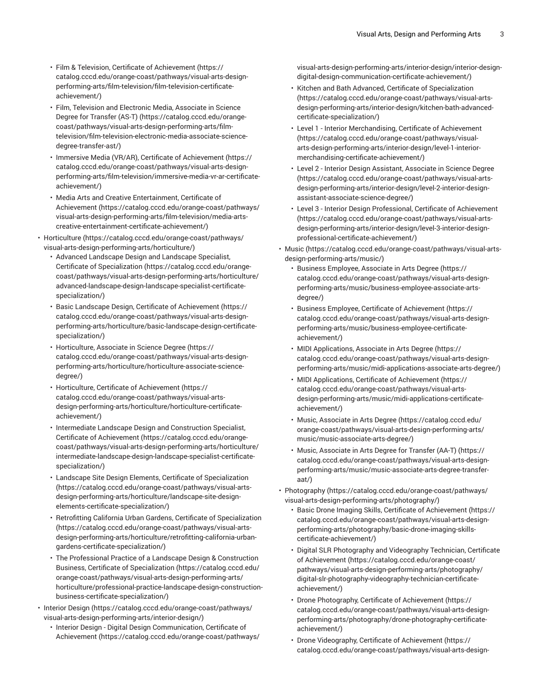- Film & Television, Certificate of [Achievement](https://catalog.cccd.edu/orange-coast/pathways/visual-arts-design-performing-arts/film-television/film-television-certificate-achievement/) ([https://](https://catalog.cccd.edu/orange-coast/pathways/visual-arts-design-performing-arts/film-television/film-television-certificate-achievement/) [catalog.cccd.edu/orange-coast/pathways/visual-arts-design](https://catalog.cccd.edu/orange-coast/pathways/visual-arts-design-performing-arts/film-television/film-television-certificate-achievement/)[performing-arts/film-television/film-television-certificate](https://catalog.cccd.edu/orange-coast/pathways/visual-arts-design-performing-arts/film-television/film-television-certificate-achievement/)[achievement/](https://catalog.cccd.edu/orange-coast/pathways/visual-arts-design-performing-arts/film-television/film-television-certificate-achievement/))
- Film, [Television](https://catalog.cccd.edu/orange-coast/pathways/visual-arts-design-performing-arts/film-television/film-television-electronic-media-associate-science-degree-transfer-ast/) and Electronic Media, Associate in Science Degree for [Transfer](https://catalog.cccd.edu/orange-coast/pathways/visual-arts-design-performing-arts/film-television/film-television-electronic-media-associate-science-degree-transfer-ast/) (AS-T) [\(https://catalog.cccd.edu/orange](https://catalog.cccd.edu/orange-coast/pathways/visual-arts-design-performing-arts/film-television/film-television-electronic-media-associate-science-degree-transfer-ast/)[coast/pathways/visual-arts-design-performing-arts/film](https://catalog.cccd.edu/orange-coast/pathways/visual-arts-design-performing-arts/film-television/film-television-electronic-media-associate-science-degree-transfer-ast/)[television/film-television-electronic-media-associate-science](https://catalog.cccd.edu/orange-coast/pathways/visual-arts-design-performing-arts/film-television/film-television-electronic-media-associate-science-degree-transfer-ast/)[degree-transfer-ast/\)](https://catalog.cccd.edu/orange-coast/pathways/visual-arts-design-performing-arts/film-television/film-television-electronic-media-associate-science-degree-transfer-ast/)
- Immersive Media (VR/AR), Certificate of [Achievement](https://catalog.cccd.edu/orange-coast/pathways/visual-arts-design-performing-arts/film-television/immersive-media-vr-ar-certificate-achievement/) ([https://](https://catalog.cccd.edu/orange-coast/pathways/visual-arts-design-performing-arts/film-television/immersive-media-vr-ar-certificate-achievement/) [catalog.cccd.edu/orange-coast/pathways/visual-arts-design](https://catalog.cccd.edu/orange-coast/pathways/visual-arts-design-performing-arts/film-television/immersive-media-vr-ar-certificate-achievement/)[performing-arts/film-television/immersive-media-vr-ar-certificate](https://catalog.cccd.edu/orange-coast/pathways/visual-arts-design-performing-arts/film-television/immersive-media-vr-ar-certificate-achievement/)[achievement/](https://catalog.cccd.edu/orange-coast/pathways/visual-arts-design-performing-arts/film-television/immersive-media-vr-ar-certificate-achievement/))
- Media Arts and Creative [Entertainment,](https://catalog.cccd.edu/orange-coast/pathways/visual-arts-design-performing-arts/film-television/media-arts-creative-entertainment-certificate-achievement/) Certificate of [Achievement \(https://catalog.cccd.edu/orange-coast/pathways/](https://catalog.cccd.edu/orange-coast/pathways/visual-arts-design-performing-arts/film-television/media-arts-creative-entertainment-certificate-achievement/) [visual-arts-design-performing-arts/film-television/media-arts](https://catalog.cccd.edu/orange-coast/pathways/visual-arts-design-performing-arts/film-television/media-arts-creative-entertainment-certificate-achievement/)[creative-entertainment-certificate-achievement/](https://catalog.cccd.edu/orange-coast/pathways/visual-arts-design-performing-arts/film-television/media-arts-creative-entertainment-certificate-achievement/))
- [Horticulture \(https://catalog.cccd.edu/orange-coast/pathways/](https://catalog.cccd.edu/orange-coast/pathways/visual-arts-design-performing-arts/horticulture/) [visual-arts-design-performing-arts/horticulture/](https://catalog.cccd.edu/orange-coast/pathways/visual-arts-design-performing-arts/horticulture/))
	- Advanced Landscape Design and [Landscape](https://catalog.cccd.edu/orange-coast/pathways/visual-arts-design-performing-arts/horticulture/advanced-landscape-design-landscape-specialist-certificate-specialization/) Specialist, Certificate of [Specialization \(https://catalog.cccd.edu/orange](https://catalog.cccd.edu/orange-coast/pathways/visual-arts-design-performing-arts/horticulture/advanced-landscape-design-landscape-specialist-certificate-specialization/)[coast/pathways/visual-arts-design-performing-arts/horticulture/](https://catalog.cccd.edu/orange-coast/pathways/visual-arts-design-performing-arts/horticulture/advanced-landscape-design-landscape-specialist-certificate-specialization/) [advanced-landscape-design-landscape-specialist-certificate](https://catalog.cccd.edu/orange-coast/pathways/visual-arts-design-performing-arts/horticulture/advanced-landscape-design-landscape-specialist-certificate-specialization/)[specialization/](https://catalog.cccd.edu/orange-coast/pathways/visual-arts-design-performing-arts/horticulture/advanced-landscape-design-landscape-specialist-certificate-specialization/))
	- Basic Landscape Design, Certificate of [Achievement \(https://](https://catalog.cccd.edu/orange-coast/pathways/visual-arts-design-performing-arts/horticulture/basic-landscape-design-certificate-specialization/) [catalog.cccd.edu/orange-coast/pathways/visual-arts-design](https://catalog.cccd.edu/orange-coast/pathways/visual-arts-design-performing-arts/horticulture/basic-landscape-design-certificate-specialization/)[performing-arts/horticulture/basic-landscape-design-certificate](https://catalog.cccd.edu/orange-coast/pathways/visual-arts-design-performing-arts/horticulture/basic-landscape-design-certificate-specialization/)[specialization/](https://catalog.cccd.edu/orange-coast/pathways/visual-arts-design-performing-arts/horticulture/basic-landscape-design-certificate-specialization/))
	- [Horticulture,](https://catalog.cccd.edu/orange-coast/pathways/visual-arts-design-performing-arts/horticulture/horticulture-associate-science-degree/) Associate in Science Degree ([https://](https://catalog.cccd.edu/orange-coast/pathways/visual-arts-design-performing-arts/horticulture/horticulture-associate-science-degree/) [catalog.cccd.edu/orange-coast/pathways/visual-arts-design](https://catalog.cccd.edu/orange-coast/pathways/visual-arts-design-performing-arts/horticulture/horticulture-associate-science-degree/)[performing-arts/horticulture/horticulture-associate-science](https://catalog.cccd.edu/orange-coast/pathways/visual-arts-design-performing-arts/horticulture/horticulture-associate-science-degree/)[degree/\)](https://catalog.cccd.edu/orange-coast/pathways/visual-arts-design-performing-arts/horticulture/horticulture-associate-science-degree/)
	- Horticulture, Certificate of [Achievement](https://catalog.cccd.edu/orange-coast/pathways/visual-arts-design-performing-arts/horticulture/horticulture-certificate-achievement/) [\(https://](https://catalog.cccd.edu/orange-coast/pathways/visual-arts-design-performing-arts/horticulture/horticulture-certificate-achievement/) [catalog.cccd.edu/orange-coast/pathways/visual-arts](https://catalog.cccd.edu/orange-coast/pathways/visual-arts-design-performing-arts/horticulture/horticulture-certificate-achievement/)[design-performing-arts/horticulture/horticulture-certificate](https://catalog.cccd.edu/orange-coast/pathways/visual-arts-design-performing-arts/horticulture/horticulture-certificate-achievement/)[achievement/](https://catalog.cccd.edu/orange-coast/pathways/visual-arts-design-performing-arts/horticulture/horticulture-certificate-achievement/))
	- [Intermediate Landscape Design and Construction Specialist,](https://catalog.cccd.edu/orange-coast/pathways/visual-arts-design-performing-arts/horticulture/intermediate-landscape-design-landscape-specialist-certificate-specialization/) Certificate of [Achievement](https://catalog.cccd.edu/orange-coast/pathways/visual-arts-design-performing-arts/horticulture/intermediate-landscape-design-landscape-specialist-certificate-specialization/) ([https://catalog.cccd.edu/orange](https://catalog.cccd.edu/orange-coast/pathways/visual-arts-design-performing-arts/horticulture/intermediate-landscape-design-landscape-specialist-certificate-specialization/)[coast/pathways/visual-arts-design-performing-arts/horticulture/](https://catalog.cccd.edu/orange-coast/pathways/visual-arts-design-performing-arts/horticulture/intermediate-landscape-design-landscape-specialist-certificate-specialization/) [intermediate-landscape-design-landscape-specialist-certificate](https://catalog.cccd.edu/orange-coast/pathways/visual-arts-design-performing-arts/horticulture/intermediate-landscape-design-landscape-specialist-certificate-specialization/)[specialization/](https://catalog.cccd.edu/orange-coast/pathways/visual-arts-design-performing-arts/horticulture/intermediate-landscape-design-landscape-specialist-certificate-specialization/))
	- Landscape Site Design Elements, Certificate of [Specialization](https://catalog.cccd.edu/orange-coast/pathways/visual-arts-design-performing-arts/horticulture/landscape-site-design-elements-certificate-specialization/) ([https://catalog.cccd.edu/orange-coast/pathways/visual-arts](https://catalog.cccd.edu/orange-coast/pathways/visual-arts-design-performing-arts/horticulture/landscape-site-design-elements-certificate-specialization/)[design-performing-arts/horticulture/landscape-site-design](https://catalog.cccd.edu/orange-coast/pathways/visual-arts-design-performing-arts/horticulture/landscape-site-design-elements-certificate-specialization/)[elements-certificate-specialization/\)](https://catalog.cccd.edu/orange-coast/pathways/visual-arts-design-performing-arts/horticulture/landscape-site-design-elements-certificate-specialization/)
	- Retrofitting California Urban Gardens, Certificate of [Specialization](https://catalog.cccd.edu/orange-coast/pathways/visual-arts-design-performing-arts/horticulture/retrofitting-california-urban-gardens-certificate-specialization/) ([https://catalog.cccd.edu/orange-coast/pathways/visual-arts](https://catalog.cccd.edu/orange-coast/pathways/visual-arts-design-performing-arts/horticulture/retrofitting-california-urban-gardens-certificate-specialization/)[design-performing-arts/horticulture/retrofitting-california-urban](https://catalog.cccd.edu/orange-coast/pathways/visual-arts-design-performing-arts/horticulture/retrofitting-california-urban-gardens-certificate-specialization/)[gardens-certificate-specialization/\)](https://catalog.cccd.edu/orange-coast/pathways/visual-arts-design-performing-arts/horticulture/retrofitting-california-urban-gardens-certificate-specialization/)
	- The Professional Practice of a Landscape Design & [Construction](https://catalog.cccd.edu/orange-coast/pathways/visual-arts-design-performing-arts/horticulture/professional-practice-landscape-design-construction-business-certificate-specialization/) Business, Certificate of [Specialization](https://catalog.cccd.edu/orange-coast/pathways/visual-arts-design-performing-arts/horticulture/professional-practice-landscape-design-construction-business-certificate-specialization/) [\(https://catalog.cccd.edu/](https://catalog.cccd.edu/orange-coast/pathways/visual-arts-design-performing-arts/horticulture/professional-practice-landscape-design-construction-business-certificate-specialization/) [orange-coast/pathways/visual-arts-design-performing-arts/](https://catalog.cccd.edu/orange-coast/pathways/visual-arts-design-performing-arts/horticulture/professional-practice-landscape-design-construction-business-certificate-specialization/) [horticulture/professional-practice-landscape-design-construction](https://catalog.cccd.edu/orange-coast/pathways/visual-arts-design-performing-arts/horticulture/professional-practice-landscape-design-construction-business-certificate-specialization/)[business-certificate-specialization/](https://catalog.cccd.edu/orange-coast/pathways/visual-arts-design-performing-arts/horticulture/professional-practice-landscape-design-construction-business-certificate-specialization/))
- [Interior Design \(https://catalog.cccd.edu/orange-coast/pathways/](https://catalog.cccd.edu/orange-coast/pathways/visual-arts-design-performing-arts/interior-design/) [visual-arts-design-performing-arts/interior-design/](https://catalog.cccd.edu/orange-coast/pathways/visual-arts-design-performing-arts/interior-design/))
	- Interior Design Digital Design [Communication,](https://catalog.cccd.edu/orange-coast/pathways/visual-arts-design-performing-arts/interior-design/interior-design-digital-design-communication-certificate-achievement/) Certificate of [Achievement \(https://catalog.cccd.edu/orange-coast/pathways/](https://catalog.cccd.edu/orange-coast/pathways/visual-arts-design-performing-arts/interior-design/interior-design-digital-design-communication-certificate-achievement/)

[visual-arts-design-performing-arts/interior-design/interior-design](https://catalog.cccd.edu/orange-coast/pathways/visual-arts-design-performing-arts/interior-design/interior-design-digital-design-communication-certificate-achievement/)[digital-design-communication-certificate-achievement/](https://catalog.cccd.edu/orange-coast/pathways/visual-arts-design-performing-arts/interior-design/interior-design-digital-design-communication-certificate-achievement/))

- Kitchen and Bath Advanced, Certificate of [Specialization](https://catalog.cccd.edu/orange-coast/pathways/visual-arts-design-performing-arts/interior-design/kitchen-bath-advanced-certificate-specialization/) [\(https://catalog.cccd.edu/orange-coast/pathways/visual-arts](https://catalog.cccd.edu/orange-coast/pathways/visual-arts-design-performing-arts/interior-design/kitchen-bath-advanced-certificate-specialization/)[design-performing-arts/interior-design/kitchen-bath-advanced](https://catalog.cccd.edu/orange-coast/pathways/visual-arts-design-performing-arts/interior-design/kitchen-bath-advanced-certificate-specialization/)[certificate-specialization/\)](https://catalog.cccd.edu/orange-coast/pathways/visual-arts-design-performing-arts/interior-design/kitchen-bath-advanced-certificate-specialization/)
- Level 1 Interior [Merchandising,](https://catalog.cccd.edu/orange-coast/pathways/visual-arts-design-performing-arts/interior-design/level-1-interior-merchandising-certificate-achievement/) Certificate of Achievement [\(https://catalog.cccd.edu/orange-coast/pathways/visual](https://catalog.cccd.edu/orange-coast/pathways/visual-arts-design-performing-arts/interior-design/level-1-interior-merchandising-certificate-achievement/)[arts-design-performing-arts/interior-design/level-1-interior](https://catalog.cccd.edu/orange-coast/pathways/visual-arts-design-performing-arts/interior-design/level-1-interior-merchandising-certificate-achievement/)[merchandising-certificate-achievement/\)](https://catalog.cccd.edu/orange-coast/pathways/visual-arts-design-performing-arts/interior-design/level-1-interior-merchandising-certificate-achievement/)
- Level 2 Interior Design [Assistant,](https://catalog.cccd.edu/orange-coast/pathways/visual-arts-design-performing-arts/interior-design/level-2-interior-design-assistant-associate-science-degree/) Associate in Science Degree [\(https://catalog.cccd.edu/orange-coast/pathways/visual-arts](https://catalog.cccd.edu/orange-coast/pathways/visual-arts-design-performing-arts/interior-design/level-2-interior-design-assistant-associate-science-degree/)[design-performing-arts/interior-design/level-2-interior-design](https://catalog.cccd.edu/orange-coast/pathways/visual-arts-design-performing-arts/interior-design/level-2-interior-design-assistant-associate-science-degree/)[assistant-associate-science-degree/\)](https://catalog.cccd.edu/orange-coast/pathways/visual-arts-design-performing-arts/interior-design/level-2-interior-design-assistant-associate-science-degree/)
- Level 3 Interior Design Professional, Certificate of [Achievement](https://catalog.cccd.edu/orange-coast/pathways/visual-arts-design-performing-arts/interior-design/level-3-interior-design-professional-certificate-achievement/) [\(https://catalog.cccd.edu/orange-coast/pathways/visual-arts](https://catalog.cccd.edu/orange-coast/pathways/visual-arts-design-performing-arts/interior-design/level-3-interior-design-professional-certificate-achievement/)[design-performing-arts/interior-design/level-3-interior-design](https://catalog.cccd.edu/orange-coast/pathways/visual-arts-design-performing-arts/interior-design/level-3-interior-design-professional-certificate-achievement/)[professional-certificate-achievement/\)](https://catalog.cccd.edu/orange-coast/pathways/visual-arts-design-performing-arts/interior-design/level-3-interior-design-professional-certificate-achievement/)
- [Music](https://catalog.cccd.edu/orange-coast/pathways/visual-arts-design-performing-arts/music/) [\(https://catalog.cccd.edu/orange-coast/pathways/visual-arts](https://catalog.cccd.edu/orange-coast/pathways/visual-arts-design-performing-arts/music/)[design-performing-arts/music/](https://catalog.cccd.edu/orange-coast/pathways/visual-arts-design-performing-arts/music/))
	- Business [Employee,](https://catalog.cccd.edu/orange-coast/pathways/visual-arts-design-performing-arts/music/business-employee-associate-arts-degree/) Associate in Arts Degree ([https://](https://catalog.cccd.edu/orange-coast/pathways/visual-arts-design-performing-arts/music/business-employee-associate-arts-degree/) [catalog.cccd.edu/orange-coast/pathways/visual-arts-design](https://catalog.cccd.edu/orange-coast/pathways/visual-arts-design-performing-arts/music/business-employee-associate-arts-degree/)[performing-arts/music/business-employee-associate-arts](https://catalog.cccd.edu/orange-coast/pathways/visual-arts-design-performing-arts/music/business-employee-associate-arts-degree/)[degree/](https://catalog.cccd.edu/orange-coast/pathways/visual-arts-design-performing-arts/music/business-employee-associate-arts-degree/))
	- Business Employee, Certificate of [Achievement](https://catalog.cccd.edu/orange-coast/pathways/visual-arts-design-performing-arts/music/business-employee-certificate-achievement/) ([https://](https://catalog.cccd.edu/orange-coast/pathways/visual-arts-design-performing-arts/music/business-employee-certificate-achievement/) [catalog.cccd.edu/orange-coast/pathways/visual-arts-design](https://catalog.cccd.edu/orange-coast/pathways/visual-arts-design-performing-arts/music/business-employee-certificate-achievement/)[performing-arts/music/business-employee-certificate](https://catalog.cccd.edu/orange-coast/pathways/visual-arts-design-performing-arts/music/business-employee-certificate-achievement/)[achievement/\)](https://catalog.cccd.edu/orange-coast/pathways/visual-arts-design-performing-arts/music/business-employee-certificate-achievement/)
	- MIDI [Applications,](https://catalog.cccd.edu/orange-coast/pathways/visual-arts-design-performing-arts/music/midi-applications-associate-arts-degree/) Associate in Arts Degree ([https://](https://catalog.cccd.edu/orange-coast/pathways/visual-arts-design-performing-arts/music/midi-applications-associate-arts-degree/) [catalog.cccd.edu/orange-coast/pathways/visual-arts-design](https://catalog.cccd.edu/orange-coast/pathways/visual-arts-design-performing-arts/music/midi-applications-associate-arts-degree/)[performing-arts/music/midi-applications-associate-arts-degree/](https://catalog.cccd.edu/orange-coast/pathways/visual-arts-design-performing-arts/music/midi-applications-associate-arts-degree/))
	- MIDI Applications, Certificate of [Achievement \(https://](https://catalog.cccd.edu/orange-coast/pathways/visual-arts-design-performing-arts/music/midi-applications-certificate-achievement/) [catalog.cccd.edu/orange-coast/pathways/visual-arts](https://catalog.cccd.edu/orange-coast/pathways/visual-arts-design-performing-arts/music/midi-applications-certificate-achievement/)[design-performing-arts/music/midi-applications-certificate](https://catalog.cccd.edu/orange-coast/pathways/visual-arts-design-performing-arts/music/midi-applications-certificate-achievement/)[achievement/\)](https://catalog.cccd.edu/orange-coast/pathways/visual-arts-design-performing-arts/music/midi-applications-certificate-achievement/)
	- Music, [Associate](https://catalog.cccd.edu/orange-coast/pathways/visual-arts-design-performing-arts/music/music-associate-arts-degree/) in Arts Degree ([https://catalog.cccd.edu/](https://catalog.cccd.edu/orange-coast/pathways/visual-arts-design-performing-arts/music/music-associate-arts-degree/) [orange-coast/pathways/visual-arts-design-performing-arts/](https://catalog.cccd.edu/orange-coast/pathways/visual-arts-design-performing-arts/music/music-associate-arts-degree/) [music/music-associate-arts-degree/\)](https://catalog.cccd.edu/orange-coast/pathways/visual-arts-design-performing-arts/music/music-associate-arts-degree/)
	- Music, [Associate](https://catalog.cccd.edu/orange-coast/pathways/visual-arts-design-performing-arts/music/music-associate-arts-degree-transfer-aat/) in Arts Degree for Transfer (AA-T) [\(https://](https://catalog.cccd.edu/orange-coast/pathways/visual-arts-design-performing-arts/music/music-associate-arts-degree-transfer-aat/) [catalog.cccd.edu/orange-coast/pathways/visual-arts-design](https://catalog.cccd.edu/orange-coast/pathways/visual-arts-design-performing-arts/music/music-associate-arts-degree-transfer-aat/)[performing-arts/music/music-associate-arts-degree-transfer](https://catalog.cccd.edu/orange-coast/pathways/visual-arts-design-performing-arts/music/music-associate-arts-degree-transfer-aat/)[aat/](https://catalog.cccd.edu/orange-coast/pathways/visual-arts-design-performing-arts/music/music-associate-arts-degree-transfer-aat/))
- [Photography \(https://catalog.cccd.edu/orange-coast/pathways/](https://catalog.cccd.edu/orange-coast/pathways/visual-arts-design-performing-arts/photography/) [visual-arts-design-performing-arts/photography/\)](https://catalog.cccd.edu/orange-coast/pathways/visual-arts-design-performing-arts/photography/)
	- Basic Drone Imaging Skills, Certificate of [Achievement \(https://](https://catalog.cccd.edu/orange-coast/pathways/visual-arts-design-performing-arts/photography/basic-drone-imaging-skills-certificate-achievement/) [catalog.cccd.edu/orange-coast/pathways/visual-arts-design](https://catalog.cccd.edu/orange-coast/pathways/visual-arts-design-performing-arts/photography/basic-drone-imaging-skills-certificate-achievement/)[performing-arts/photography/basic-drone-imaging-skills](https://catalog.cccd.edu/orange-coast/pathways/visual-arts-design-performing-arts/photography/basic-drone-imaging-skills-certificate-achievement/)[certificate-achievement/](https://catalog.cccd.edu/orange-coast/pathways/visual-arts-design-performing-arts/photography/basic-drone-imaging-skills-certificate-achievement/))
	- Digital SLR [Photography](https://catalog.cccd.edu/orange-coast/pathways/visual-arts-design-performing-arts/photography/digital-slr-photography-videography-technician-certificate-achievement/) and Videography Technician, Certificate of [Achievement \(https://catalog.cccd.edu/orange-coast/](https://catalog.cccd.edu/orange-coast/pathways/visual-arts-design-performing-arts/photography/digital-slr-photography-videography-technician-certificate-achievement/) [pathways/visual-arts-design-performing-arts/photography/](https://catalog.cccd.edu/orange-coast/pathways/visual-arts-design-performing-arts/photography/digital-slr-photography-videography-technician-certificate-achievement/) [digital-slr-photography-videography-technician-certificate](https://catalog.cccd.edu/orange-coast/pathways/visual-arts-design-performing-arts/photography/digital-slr-photography-videography-technician-certificate-achievement/)[achievement/\)](https://catalog.cccd.edu/orange-coast/pathways/visual-arts-design-performing-arts/photography/digital-slr-photography-videography-technician-certificate-achievement/)
	- Drone [Photography,](https://catalog.cccd.edu/orange-coast/pathways/visual-arts-design-performing-arts/photography/drone-photography-certificate-achievement/) Certificate of Achievement ([https://](https://catalog.cccd.edu/orange-coast/pathways/visual-arts-design-performing-arts/photography/drone-photography-certificate-achievement/) [catalog.cccd.edu/orange-coast/pathways/visual-arts-design](https://catalog.cccd.edu/orange-coast/pathways/visual-arts-design-performing-arts/photography/drone-photography-certificate-achievement/)[performing-arts/photography/drone-photography-certificate](https://catalog.cccd.edu/orange-coast/pathways/visual-arts-design-performing-arts/photography/drone-photography-certificate-achievement/)[achievement/\)](https://catalog.cccd.edu/orange-coast/pathways/visual-arts-design-performing-arts/photography/drone-photography-certificate-achievement/)
	- Drone Videography, Certificate of [Achievement \(https://](https://catalog.cccd.edu/orange-coast/pathways/visual-arts-design-performing-arts/photography/drone-videography-certificate-achievement/) [catalog.cccd.edu/orange-coast/pathways/visual-arts-design-](https://catalog.cccd.edu/orange-coast/pathways/visual-arts-design-performing-arts/photography/drone-videography-certificate-achievement/)